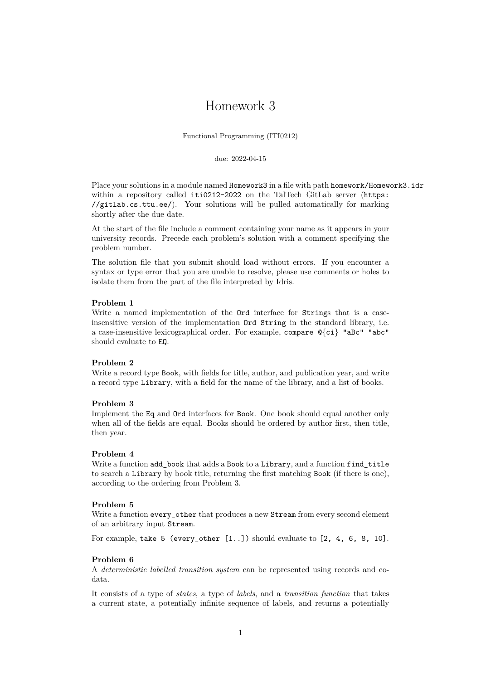# Homework 3

Functional Programming (ITI0212)

due: 2022-04-15

Place your solutions in a module named Homework3 in a file with path homework/Homework3.idr within a repository called iti0212-2022 on the TalTech GitLab server ([https:](https://gitlab.cs.ttu.ee/) [//gitlab.cs.ttu.ee/](https://gitlab.cs.ttu.ee/)). Your solutions will be pulled automatically for marking shortly after the due date.

At the start of the file include a comment containing your name as it appears in your university records. Precede each problem's solution with a comment specifying the problem number.

The solution file that you submit should load without errors. If you encounter a syntax or type error that you are unable to resolve, please use comments or holes to isolate them from the part of the file interpreted by Idris.

#### **Problem 1**

Write a named implementation of the  $Ord$  interface for Strings that is a caseinsensitive version of the implementation Ord String in the standard library, i.e. a case-insensitive lexicographical order. For example, compare @{ci} "aBc" "abc" should evaluate to EQ.

# **Problem 2**

Write a record type Book, with fields for title, author, and publication year, and write a record type Library, with a field for the name of the library, and a list of books.

# <span id="page-0-0"></span>**Problem 3**

Implement the Eq and Ord interfaces for Book. One book should equal another only when all of the fields are equal. Books should be ordered by author first, then title, then year.

### **Problem 4**

Write a function add\_book that adds a Book to a Library, and a function find\_title to search a Library by book title, returning the first matching Book (if there is one), according to the ordering from Problem [3.](#page-0-0)

#### **Problem 5**

Write a function every\_other that produces a new Stream from every second element of an arbitrary input Stream.

For example, take 5 (every\_other [1..]) should evaluate to [2, 4, 6, 8, 10].

#### **Problem 6**

A *deterministic labelled transition system* can be represented using records and codata.

It consists of a type of *states*, a type of *labels*, and a *transition function* that takes a current state, a potentially infinite sequence of labels, and returns a potentially